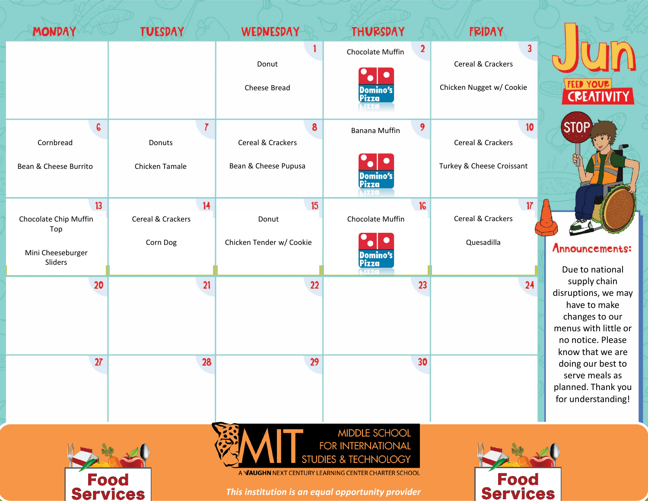